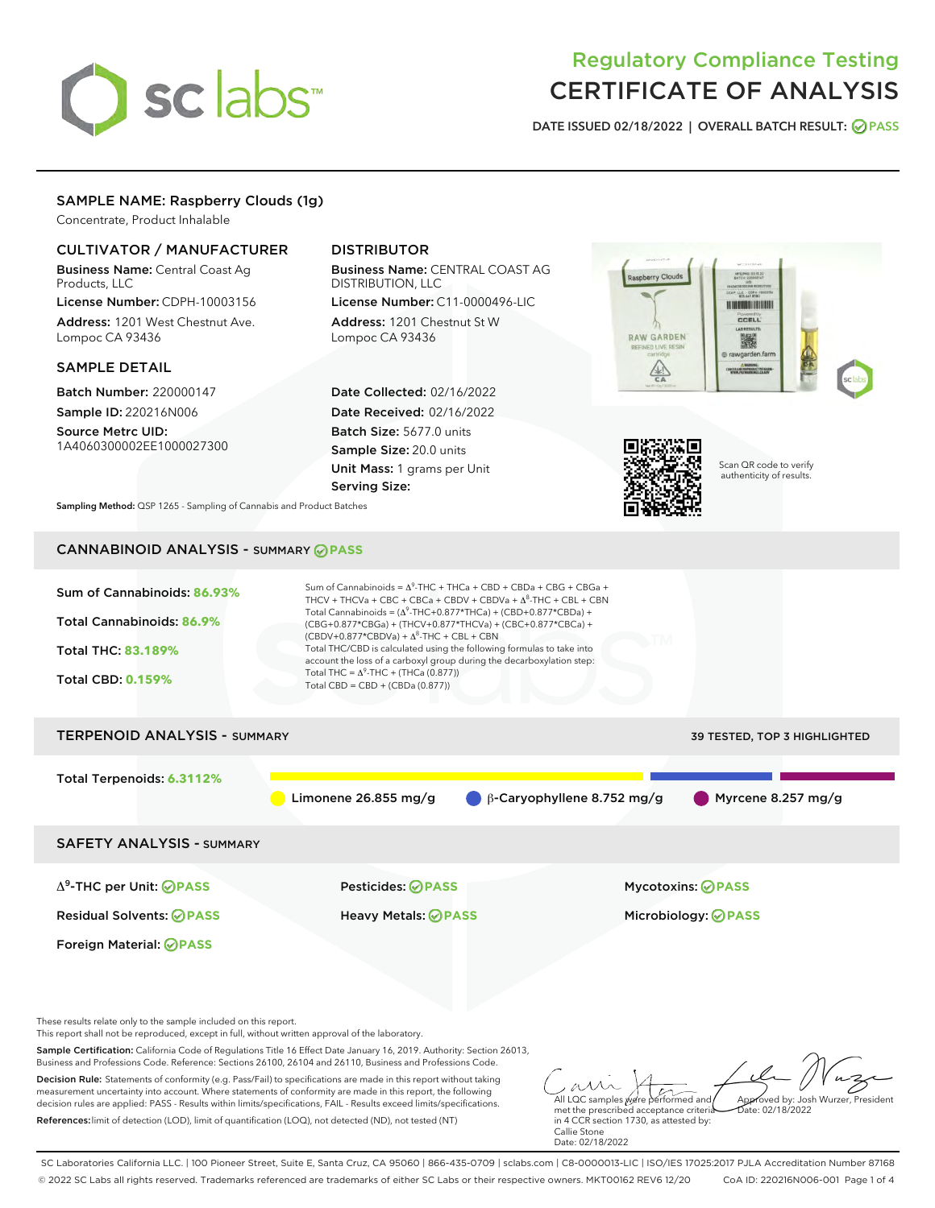# sclabs<sup>\*</sup>

# Regulatory Compliance Testing CERTIFICATE OF ANALYSIS

DATE ISSUED 02/18/2022 | OVERALL BATCH RESULT: @ PASS

#### SAMPLE NAME: Raspberry Clouds (1g)

Concentrate, Product Inhalable

#### CULTIVATOR / MANUFACTURER

Business Name: Central Coast Ag Products, LLC License Number: CDPH-10003156

Address: 1201 West Chestnut Ave. Lompoc CA 93436

#### SAMPLE DETAIL

Batch Number: 220000147 Sample ID: 220216N006

Source Metrc UID: 1A4060300002EE1000027300

### DISTRIBUTOR

Business Name: CENTRAL COAST AG DISTRIBUTION, LLC

License Number: C11-0000496-LIC Address: 1201 Chestnut St W Lompoc CA 93436

Date Collected: 02/16/2022 Date Received: 02/16/2022 Batch Size: 5677.0 units Sample Size: 20.0 units Unit Mass: 1 grams per Unit Serving Size:





Scan QR code to verify authenticity of results.

Sampling Method: QSP 1265 - Sampling of Cannabis and Product Batches

## CANNABINOID ANALYSIS - SUMMARY **PASS**



Decision Rule: Statements of conformity (e.g. Pass/Fail) to specifications are made in this report without taking measurement uncertainty into account. Where statements of conformity are made in this report, the following decision rules are applied: PASS - Results within limits/specifications, FAIL - Results exceed limits/specifications. References:limit of detection (LOD), limit of quantification (LOQ), not detected (ND), not tested (NT)

All LQC samples were performed and met the prescribed acceptance criteria in 4 CCR section 1730, as attested by: Callie Stone Date: 02/18/2022 Approved by: Josh Wurzer, President  $ate: 02/18/2022$ 

SC Laboratories California LLC. | 100 Pioneer Street, Suite E, Santa Cruz, CA 95060 | 866-435-0709 | sclabs.com | C8-0000013-LIC | ISO/IES 17025:2017 PJLA Accreditation Number 87168 © 2022 SC Labs all rights reserved. Trademarks referenced are trademarks of either SC Labs or their respective owners. MKT00162 REV6 12/20 CoA ID: 220216N006-001 Page 1 of 4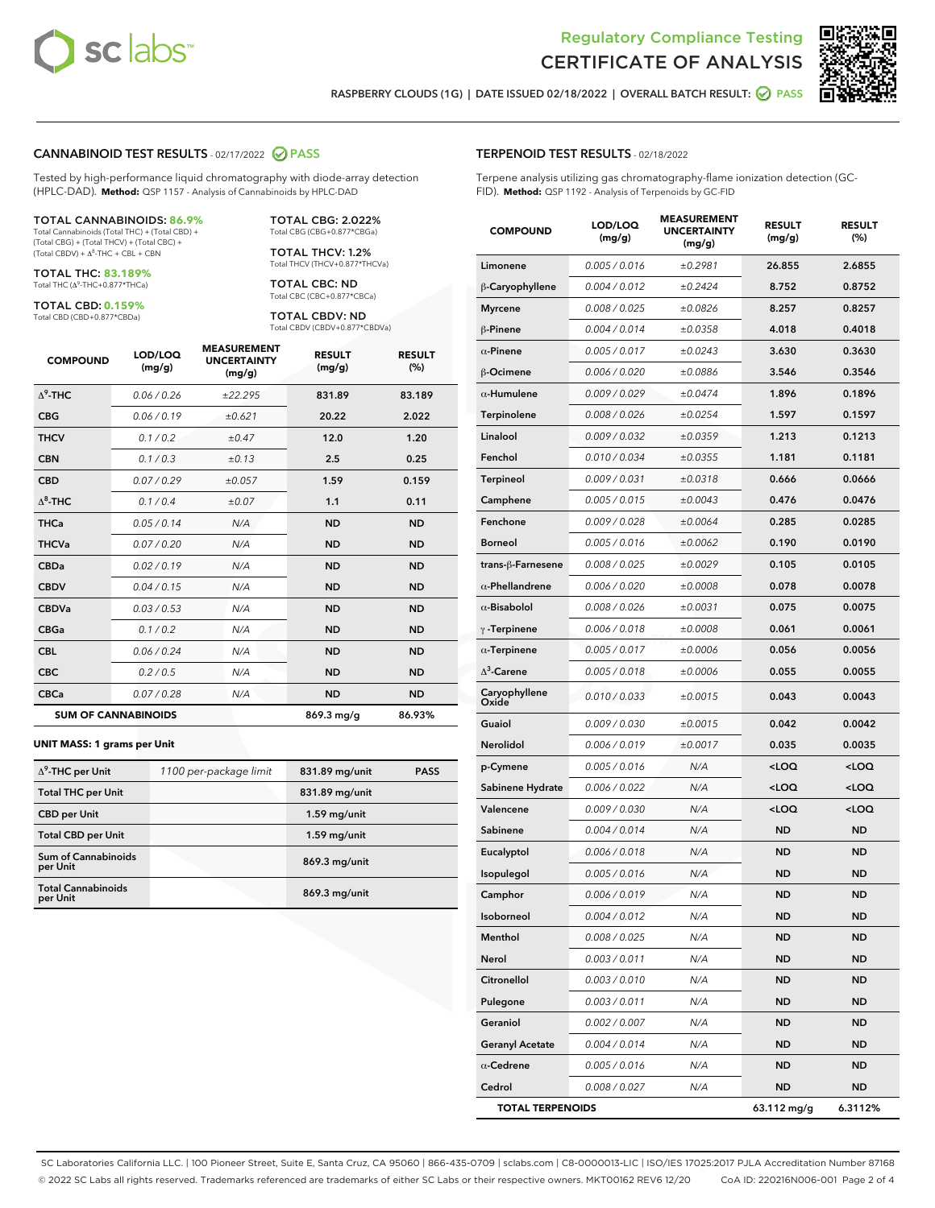



RASPBERRY CLOUDS (1G) | DATE ISSUED 02/18/2022 | OVERALL BATCH RESULT: @ PASS

#### CANNABINOID TEST RESULTS - 02/17/2022 2 PASS

Tested by high-performance liquid chromatography with diode-array detection (HPLC-DAD). **Method:** QSP 1157 - Analysis of Cannabinoids by HPLC-DAD

#### TOTAL CANNABINOIDS: **86.9%**

Total Cannabinoids (Total THC) + (Total CBD) + (Total CBG) + (Total THCV) + (Total CBC) +  $(Total CBDV) +  $\Delta^8$ -THC + CBL + CBN$ 

TOTAL THC: **83.189%** Total THC (Δ<sup>9</sup> -THC+0.877\*THCa)

TOTAL CBD: **0.159%**

Total CBD (CBD+0.877\*CBDa)

TOTAL CBG: 2.022% Total CBG (CBG+0.877\*CBGa)

TOTAL THCV: 1.2% Total THCV (THCV+0.877\*THCVa)

TOTAL CBC: ND Total CBC (CBC+0.877\*CBCa)

TOTAL CBDV: ND Total CBDV (CBDV+0.877\*CBDVa)

| <b>COMPOUND</b>  | LOD/LOQ<br>(mg/g)          | <b>MEASUREMENT</b><br><b>UNCERTAINTY</b><br>(mg/g) | <b>RESULT</b><br>(mg/g) | <b>RESULT</b><br>(%) |
|------------------|----------------------------|----------------------------------------------------|-------------------------|----------------------|
| $\Lambda^9$ -THC | 0.06 / 0.26                | ±22.295                                            | 831.89                  | 83.189               |
| <b>CBG</b>       | 0.06/0.19                  | ±0.621                                             | 20.22                   | 2.022                |
| <b>THCV</b>      | 0.1 / 0.2                  | $\pm 0.47$                                         | 12.0                    | 1.20                 |
| <b>CBN</b>       | 0.1/0.3                    | ±0.13                                              | 2.5                     | 0.25                 |
| <b>CBD</b>       | 0.07/0.29                  | ±0.057                                             | 1.59                    | 0.159                |
| $\Delta^8$ -THC  | 0.1 / 0.4                  | ±0.07                                              | 1.1                     | 0.11                 |
| <b>THCa</b>      | 0.05/0.14                  | N/A                                                | <b>ND</b>               | <b>ND</b>            |
| <b>THCVa</b>     | 0.07/0.20                  | N/A                                                | <b>ND</b>               | <b>ND</b>            |
| <b>CBDa</b>      | 0.02/0.19                  | N/A                                                | <b>ND</b>               | <b>ND</b>            |
| <b>CBDV</b>      | 0.04 / 0.15                | N/A                                                | <b>ND</b>               | <b>ND</b>            |
| <b>CBDVa</b>     | 0.03/0.53                  | N/A                                                | <b>ND</b>               | <b>ND</b>            |
| <b>CBGa</b>      | 0.1/0.2                    | N/A                                                | <b>ND</b>               | <b>ND</b>            |
| <b>CBL</b>       | 0.06 / 0.24                | N/A                                                | <b>ND</b>               | <b>ND</b>            |
| <b>CBC</b>       | 0.2 / 0.5                  | N/A                                                | <b>ND</b>               | <b>ND</b>            |
| <b>CBCa</b>      | 0.07/0.28                  | N/A                                                | <b>ND</b>               | <b>ND</b>            |
|                  | <b>SUM OF CANNABINOIDS</b> |                                                    | 869.3 mg/g              | 86.93%               |

#### **UNIT MASS: 1 grams per Unit**

| $\Delta^9$ -THC per Unit              | 1100 per-package limit | 831.89 mg/unit | <b>PASS</b> |
|---------------------------------------|------------------------|----------------|-------------|
| <b>Total THC per Unit</b>             |                        | 831.89 mg/unit |             |
| <b>CBD</b> per Unit                   |                        | $1.59$ mg/unit |             |
| <b>Total CBD per Unit</b>             |                        | $1.59$ mg/unit |             |
| Sum of Cannabinoids<br>per Unit       |                        | 869.3 mg/unit  |             |
| <b>Total Cannabinoids</b><br>per Unit |                        | 869.3 mg/unit  |             |

#### TERPENOID TEST RESULTS - 02/18/2022

Terpene analysis utilizing gas chromatography-flame ionization detection (GC-FID). **Method:** QSP 1192 - Analysis of Terpenoids by GC-FID

| <b>COMPOUND</b>         | LOD/LOQ<br>(mg/g) | <b>MEASUREMENT</b><br><b>UNCERTAINTY</b><br>(mg/g) | <b>RESULT</b><br>(mg/g)                         | <b>RESULT</b><br>(%) |
|-------------------------|-------------------|----------------------------------------------------|-------------------------------------------------|----------------------|
| Limonene                | 0.005 / 0.016     | ±0.2981                                            | 26.855                                          | 2.6855               |
| β-Caryophyllene         | 0.004 / 0.012     | ±0.2424                                            | 8.752                                           | 0.8752               |
| <b>Myrcene</b>          | 0.008 / 0.025     | ±0.0826                                            | 8.257                                           | 0.8257               |
| β-Pinene                | 0.004 / 0.014     | ±0.0358                                            | 4.018                                           | 0.4018               |
| $\alpha$ -Pinene        | 0.005 / 0.017     | ±0.0243                                            | 3.630                                           | 0.3630               |
| β-Ocimene               | 0.006 / 0.020     | ±0.0886                                            | 3.546                                           | 0.3546               |
| $\alpha$ -Humulene      | 0.009 / 0.029     | ±0.0474                                            | 1.896                                           | 0.1896               |
| Terpinolene             | 0.008 / 0.026     | ±0.0254                                            | 1.597                                           | 0.1597               |
| Linalool                | 0.009 / 0.032     | ±0.0359                                            | 1.213                                           | 0.1213               |
| Fenchol                 | 0.010 / 0.034     | ±0.0355                                            | 1.181                                           | 0.1181               |
| <b>Terpineol</b>        | 0.009 / 0.031     | ±0.0318                                            | 0.666                                           | 0.0666               |
| Camphene                | 0.005 / 0.015     | ±0.0043                                            | 0.476                                           | 0.0476               |
| Fenchone                | 0.009 / 0.028     | ±0.0064                                            | 0.285                                           | 0.0285               |
| <b>Borneol</b>          | 0.005 / 0.016     | ±0.0062                                            | 0.190                                           | 0.0190               |
| trans-ß-Farnesene       | 0.008 / 0.025     | ±0.0029                                            | 0.105                                           | 0.0105               |
| $\alpha$ -Phellandrene  | 0.006 / 0.020     | ±0.0008                                            | 0.078                                           | 0.0078               |
| $\alpha$ -Bisabolol     | 0.008 / 0.026     | ±0.0031                                            | 0.075                                           | 0.0075               |
| $\gamma$ -Terpinene     | 0.006 / 0.018     | ±0.0008                                            | 0.061                                           | 0.0061               |
| $\alpha$ -Terpinene     | 0.005 / 0.017     | ±0.0006                                            | 0.056                                           | 0.0056               |
| $\Delta^3$ -Carene      | 0.005 / 0.018     | ±0.0006                                            | 0.055                                           | 0.0055               |
| Caryophyllene<br>Oxide  | 0.010 / 0.033     | ±0.0015                                            | 0.043                                           | 0.0043               |
| Guaiol                  | 0.009 / 0.030     | ±0.0015                                            | 0.042                                           | 0.0042               |
| Nerolidol               | 0.006 / 0.019     | ±0.0017                                            | 0.035                                           | 0.0035               |
| p-Cymene                | 0.005 / 0.016     | N/A                                                | <loq< th=""><th><loq< th=""></loq<></th></loq<> | <loq< th=""></loq<>  |
| Sabinene Hydrate        | 0.006 / 0.022     | N/A                                                | <loq< th=""><th><loq< th=""></loq<></th></loq<> | <loq< th=""></loq<>  |
| Valencene               | 0.009 / 0.030     | N/A                                                | <loq< th=""><th><loq< th=""></loq<></th></loq<> | <loq< th=""></loq<>  |
| Sabinene                | 0.004 / 0.014     | N/A                                                | <b>ND</b>                                       | <b>ND</b>            |
| Eucalyptol              | 0.006 / 0.018     | N/A                                                | ND                                              | <b>ND</b>            |
| Isopulegol              | 0.005 / 0.016     | N/A                                                | <b>ND</b>                                       | ND                   |
| Camphor                 | 0.006 / 0.019     | N/A                                                | <b>ND</b>                                       | <b>ND</b>            |
| Isoborneol              | 0.004 / 0.012     | N/A                                                | ND                                              | ND                   |
| Menthol                 | 0.008 / 0.025     | N/A                                                | <b>ND</b>                                       | ND                   |
| Nerol                   | 0.003 / 0.011     | N/A                                                | <b>ND</b>                                       | <b>ND</b>            |
| Citronellol             | 0.003 / 0.010     | N/A                                                | ND                                              | ND                   |
| Pulegone                | 0.003 / 0.011     | N/A                                                | ND                                              | ND                   |
| Geraniol                | 0.002 / 0.007     | N/A                                                | <b>ND</b>                                       | <b>ND</b>            |
| <b>Geranyl Acetate</b>  | 0.004 / 0.014     | N/A                                                | ND                                              | ND                   |
| $\alpha$ -Cedrene       | 0.005 / 0.016     | N/A                                                | <b>ND</b>                                       | ND                   |
| Cedrol                  | 0.008 / 0.027     | N/A                                                | <b>ND</b>                                       | ND                   |
| <b>TOTAL TERPENOIDS</b> |                   |                                                    | 63.112 mg/g                                     | 6.3112%              |

SC Laboratories California LLC. | 100 Pioneer Street, Suite E, Santa Cruz, CA 95060 | 866-435-0709 | sclabs.com | C8-0000013-LIC | ISO/IES 17025:2017 PJLA Accreditation Number 87168 © 2022 SC Labs all rights reserved. Trademarks referenced are trademarks of either SC Labs or their respective owners. MKT00162 REV6 12/20 CoA ID: 220216N006-001 Page 2 of 4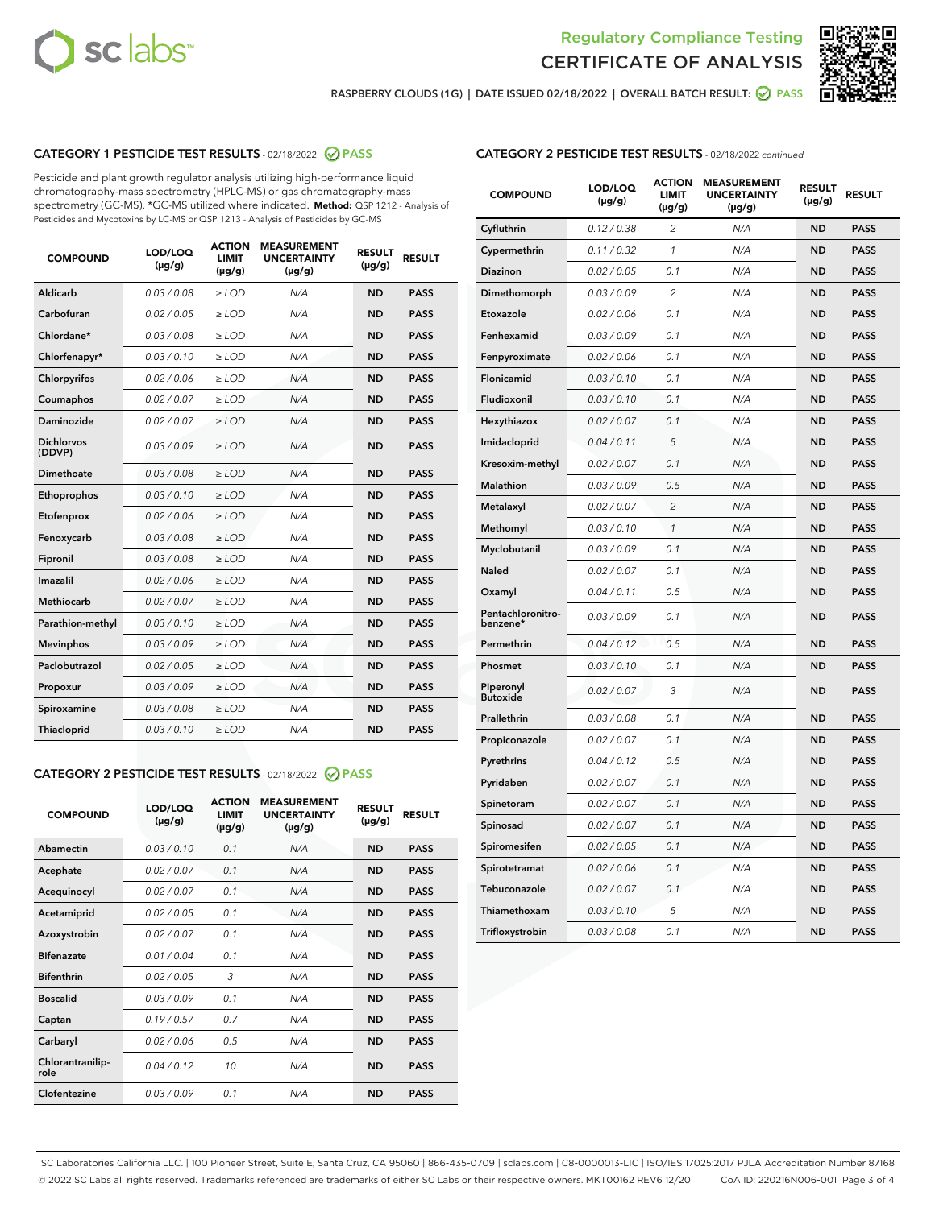



RASPBERRY CLOUDS (1G) | DATE ISSUED 02/18/2022 | OVERALL BATCH RESULT: @ PASS

#### CATEGORY 1 PESTICIDE TEST RESULTS - 02/18/2022 2 PASS

Pesticide and plant growth regulator analysis utilizing high-performance liquid chromatography-mass spectrometry (HPLC-MS) or gas chromatography-mass spectrometry (GC-MS). \*GC-MS utilized where indicated. **Method:** QSP 1212 - Analysis of Pesticides and Mycotoxins by LC-MS or QSP 1213 - Analysis of Pesticides by GC-MS

| <b>COMPOUND</b>             | LOD/LOQ<br>$(\mu g/g)$ | <b>ACTION</b><br><b>LIMIT</b><br>$(\mu g/g)$ | <b>MEASUREMENT</b><br><b>UNCERTAINTY</b><br>$(\mu g/g)$ | <b>RESULT</b><br>$(\mu g/g)$ | <b>RESULT</b> |
|-----------------------------|------------------------|----------------------------------------------|---------------------------------------------------------|------------------------------|---------------|
| Aldicarb                    | 0.03 / 0.08            | $\ge$ LOD                                    | N/A                                                     | <b>ND</b>                    | <b>PASS</b>   |
| Carbofuran                  | 0.02 / 0.05            | $\ge$ LOD                                    | N/A                                                     | <b>ND</b>                    | <b>PASS</b>   |
| Chlordane*                  | 0.03 / 0.08            | $\geq$ LOD                                   | N/A                                                     | <b>ND</b>                    | <b>PASS</b>   |
| Chlorfenapyr*               | 0.03/0.10              | $\geq$ LOD                                   | N/A                                                     | <b>ND</b>                    | <b>PASS</b>   |
| Chlorpyrifos                | 0.02/0.06              | $\ge$ LOD                                    | N/A                                                     | <b>ND</b>                    | <b>PASS</b>   |
| Coumaphos                   | 0.02 / 0.07            | $\geq$ LOD                                   | N/A                                                     | <b>ND</b>                    | <b>PASS</b>   |
| Daminozide                  | 0.02 / 0.07            | $>$ LOD                                      | N/A                                                     | <b>ND</b>                    | <b>PASS</b>   |
| <b>Dichlorvos</b><br>(DDVP) | 0.03/0.09              | $\ge$ LOD                                    | N/A                                                     | <b>ND</b>                    | <b>PASS</b>   |
| Dimethoate                  | 0.03/0.08              | $>$ LOD                                      | N/A                                                     | <b>ND</b>                    | <b>PASS</b>   |
| Ethoprophos                 | 0.03/0.10              | $\ge$ LOD                                    | N/A                                                     | <b>ND</b>                    | <b>PASS</b>   |
| Etofenprox                  | 0.02 / 0.06            | $\ge$ LOD                                    | N/A                                                     | <b>ND</b>                    | <b>PASS</b>   |
| Fenoxycarb                  | 0.03/0.08              | $>$ LOD                                      | N/A                                                     | <b>ND</b>                    | <b>PASS</b>   |
| Fipronil                    | 0.03 / 0.08            | $\ge$ LOD                                    | N/A                                                     | <b>ND</b>                    | <b>PASS</b>   |
| Imazalil                    | 0.02 / 0.06            | $>$ LOD                                      | N/A                                                     | <b>ND</b>                    | <b>PASS</b>   |
| <b>Methiocarb</b>           | 0.02 / 0.07            | $\ge$ LOD                                    | N/A                                                     | <b>ND</b>                    | <b>PASS</b>   |
| Parathion-methyl            | 0.03/0.10              | $\geq$ LOD                                   | N/A                                                     | <b>ND</b>                    | <b>PASS</b>   |
| <b>Mevinphos</b>            | 0.03/0.09              | $\ge$ LOD                                    | N/A                                                     | <b>ND</b>                    | <b>PASS</b>   |
| Paclobutrazol               | 0.02 / 0.05            | $\ge$ LOD                                    | N/A                                                     | <b>ND</b>                    | <b>PASS</b>   |
| Propoxur                    | 0.03/0.09              | $\ge$ LOD                                    | N/A                                                     | <b>ND</b>                    | <b>PASS</b>   |
| Spiroxamine                 | 0.03 / 0.08            | $\ge$ LOD                                    | N/A                                                     | <b>ND</b>                    | <b>PASS</b>   |
| Thiacloprid                 | 0.03/0.10              | $>$ LOD                                      | N/A                                                     | <b>ND</b>                    | <b>PASS</b>   |
|                             |                        |                                              |                                                         |                              |               |

#### CATEGORY 2 PESTICIDE TEST RESULTS - 02/18/2022 @ PASS

| <b>COMPOUND</b>          | LOD/LOQ<br>$(\mu g/g)$ | <b>ACTION</b><br><b>LIMIT</b><br>$(\mu g/g)$ | <b>MEASUREMENT</b><br><b>UNCERTAINTY</b><br>$(\mu g/g)$ | <b>RESULT</b><br>$(\mu g/g)$ | <b>RESULT</b> |
|--------------------------|------------------------|----------------------------------------------|---------------------------------------------------------|------------------------------|---------------|
| Abamectin                | 0.03/0.10              | 0.1                                          | N/A                                                     | <b>ND</b>                    | <b>PASS</b>   |
| Acephate                 | 0.02/0.07              | 0.1                                          | N/A                                                     | <b>ND</b>                    | <b>PASS</b>   |
| Acequinocyl              | 0.02/0.07              | 0.1                                          | N/A                                                     | <b>ND</b>                    | <b>PASS</b>   |
| Acetamiprid              | 0.02/0.05              | 0.1                                          | N/A                                                     | <b>ND</b>                    | <b>PASS</b>   |
| Azoxystrobin             | 0.02/0.07              | 0.1                                          | N/A                                                     | <b>ND</b>                    | <b>PASS</b>   |
| <b>Bifenazate</b>        | 0.01/0.04              | 0.1                                          | N/A                                                     | <b>ND</b>                    | <b>PASS</b>   |
| <b>Bifenthrin</b>        | 0.02 / 0.05            | 3                                            | N/A                                                     | <b>ND</b>                    | <b>PASS</b>   |
| <b>Boscalid</b>          | 0.03/0.09              | 0.1                                          | N/A                                                     | <b>ND</b>                    | <b>PASS</b>   |
| Captan                   | 0.19/0.57              | 0.7                                          | N/A                                                     | <b>ND</b>                    | <b>PASS</b>   |
| Carbaryl                 | 0.02/0.06              | 0.5                                          | N/A                                                     | <b>ND</b>                    | <b>PASS</b>   |
| Chlorantranilip-<br>role | 0.04/0.12              | 10                                           | N/A                                                     | <b>ND</b>                    | <b>PASS</b>   |
| Clofentezine             | 0.03/0.09              | 0.1                                          | N/A                                                     | <b>ND</b>                    | <b>PASS</b>   |

| <b>CATEGORY 2 PESTICIDE TEST RESULTS</b> - 02/18/2022 continued |  |  |  |
|-----------------------------------------------------------------|--|--|--|
|                                                                 |  |  |  |

| <b>COMPOUND</b>               | LOD/LOQ<br>(µg/g) | <b>ACTION</b><br><b>LIMIT</b><br>$(\mu g/g)$ | <b>MEASUREMENT</b><br><b>UNCERTAINTY</b><br>(µg/g) | <b>RESULT</b><br>(µg/g) | <b>RESULT</b> |
|-------------------------------|-------------------|----------------------------------------------|----------------------------------------------------|-------------------------|---------------|
| Cyfluthrin                    | 0.12 / 0.38       | $\overline{c}$                               | N/A                                                | <b>ND</b>               | <b>PASS</b>   |
| Cypermethrin                  | 0.11 / 0.32       | 1                                            | N/A                                                | <b>ND</b>               | <b>PASS</b>   |
| <b>Diazinon</b>               | 0.02 / 0.05       | 0.1                                          | N/A                                                | <b>ND</b>               | <b>PASS</b>   |
| Dimethomorph                  | 0.03 / 0.09       | $\overline{2}$                               | N/A                                                | <b>ND</b>               | <b>PASS</b>   |
| Etoxazole                     | 0.02 / 0.06       | 0.1                                          | N/A                                                | <b>ND</b>               | <b>PASS</b>   |
| Fenhexamid                    | 0.03 / 0.09       | 0.1                                          | N/A                                                | <b>ND</b>               | <b>PASS</b>   |
| Fenpyroximate                 | 0.02 / 0.06       | 0.1                                          | N/A                                                | <b>ND</b>               | <b>PASS</b>   |
| Flonicamid                    | 0.03 / 0.10       | 0.1                                          | N/A                                                | <b>ND</b>               | <b>PASS</b>   |
| Fludioxonil                   | 0.03 / 0.10       | 0.1                                          | N/A                                                | <b>ND</b>               | <b>PASS</b>   |
| Hexythiazox                   | 0.02 / 0.07       | 0.1                                          | N/A                                                | <b>ND</b>               | <b>PASS</b>   |
| Imidacloprid                  | 0.04 / 0.11       | 5                                            | N/A                                                | <b>ND</b>               | <b>PASS</b>   |
| Kresoxim-methyl               | 0.02 / 0.07       | 0.1                                          | N/A                                                | <b>ND</b>               | <b>PASS</b>   |
| <b>Malathion</b>              | 0.03 / 0.09       | 0.5                                          | N/A                                                | <b>ND</b>               | <b>PASS</b>   |
| Metalaxyl                     | 0.02 / 0.07       | $\overline{c}$                               | N/A                                                | <b>ND</b>               | <b>PASS</b>   |
| Methomyl                      | 0.03 / 0.10       | $\mathcal{I}$                                | N/A                                                | <b>ND</b>               | <b>PASS</b>   |
| Myclobutanil                  | 0.03 / 0.09       | 0.1                                          | N/A                                                | <b>ND</b>               | <b>PASS</b>   |
| Naled                         | 0.02 / 0.07       | 0.1                                          | N/A                                                | <b>ND</b>               | <b>PASS</b>   |
| Oxamyl                        | 0.04 / 0.11       | 0.5                                          | N/A                                                | <b>ND</b>               | <b>PASS</b>   |
| Pentachloronitro-<br>benzene* | 0.03 / 0.09       | 0.1                                          | N/A                                                | <b>ND</b>               | <b>PASS</b>   |
| Permethrin                    | 0.04 / 0.12       | 0.5                                          | N/A                                                | <b>ND</b>               | <b>PASS</b>   |
| Phosmet                       | 0.03 / 0.10       | 0.1                                          | N/A                                                | <b>ND</b>               | <b>PASS</b>   |
| Piperonyl<br><b>Butoxide</b>  | 0.02 / 0.07       | 3                                            | N/A                                                | <b>ND</b>               | <b>PASS</b>   |
| Prallethrin                   | 0.03 / 0.08       | 0.1                                          | N/A                                                | <b>ND</b>               | <b>PASS</b>   |
| Propiconazole                 | 0.02 / 0.07       | 0.1                                          | N/A                                                | <b>ND</b>               | <b>PASS</b>   |
| Pyrethrins                    | 0.04 / 0.12       | 0.5                                          | N/A                                                | <b>ND</b>               | <b>PASS</b>   |
| Pyridaben                     | 0.02 / 0.07       | 0.1                                          | N/A                                                | <b>ND</b>               | <b>PASS</b>   |
| Spinetoram                    | 0.02 / 0.07       | 0.1                                          | N/A                                                | <b>ND</b>               | <b>PASS</b>   |
| Spinosad                      | 0.02 / 0.07       | 0.1                                          | N/A                                                | <b>ND</b>               | <b>PASS</b>   |
| Spiromesifen                  | 0.02 / 0.05       | 0.1                                          | N/A                                                | ND                      | <b>PASS</b>   |
| Spirotetramat                 | 0.02 / 0.06       | 0.1                                          | N/A                                                | <b>ND</b>               | <b>PASS</b>   |
| Tebuconazole                  | 0.02 / 0.07       | 0.1                                          | N/A                                                | <b>ND</b>               | <b>PASS</b>   |
| Thiamethoxam                  | 0.03 / 0.10       | 5                                            | N/A                                                | <b>ND</b>               | <b>PASS</b>   |
| Trifloxystrobin               | 0.03 / 0.08       | 0.1                                          | N/A                                                | ND                      | <b>PASS</b>   |

SC Laboratories California LLC. | 100 Pioneer Street, Suite E, Santa Cruz, CA 95060 | 866-435-0709 | sclabs.com | C8-0000013-LIC | ISO/IES 17025:2017 PJLA Accreditation Number 87168 © 2022 SC Labs all rights reserved. Trademarks referenced are trademarks of either SC Labs or their respective owners. MKT00162 REV6 12/20 CoA ID: 220216N006-001 Page 3 of 4